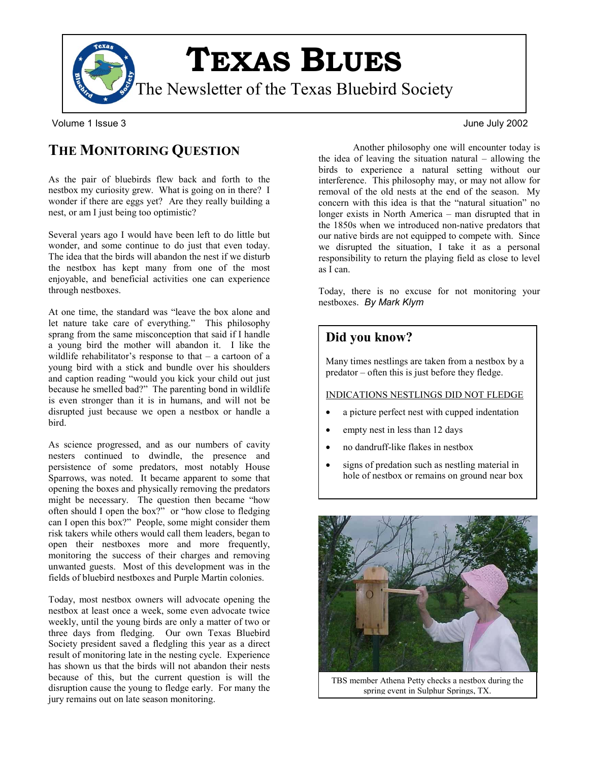

Volume 1 Issue 3 June July 2002

# **THE MONITORING QUESTION**

As the pair of bluebirds flew back and forth to the nestbox my curiosity grew. What is going on in there? I wonder if there are eggs yet? Are they really building a nest, or am I just being too optimistic?

Several years ago I would have been left to do little but wonder, and some continue to do just that even today. The idea that the birds will abandon the nest if we disturb the nestbox has kept many from one of the most enjoyable, and beneficial activities one can experience through nestboxes.

At one time, the standard was "leave the box alone and let nature take care of everything." This philosophy sprang from the same misconception that said if I handle a young bird the mother will abandon it. I like the wildlife rehabilitator's response to that – a cartoon of a young bird with a stick and bundle over his shoulders and caption reading "would you kick your child out just because he smelled bad?" The parenting bond in wildlife is even stronger than it is in humans, and will not be disrupted just because we open a nestbox or handle a bird.

As science progressed, and as our numbers of cavity nesters continued to dwindle, the presence and persistence of some predators, most notably House Sparrows, was noted. It became apparent to some that opening the boxes and physically removing the predators might be necessary. The question then became "how often should I open the box?" or "how close to fledging can I open this box?" People, some might consider them risk takers while others would call them leaders, began to open their nestboxes more and more frequently, monitoring the success of their charges and removing unwanted guests. Most of this development was in the fields of bluebird nestboxes and Purple Martin colonies.

Today, most nestbox owners will advocate opening the nestbox at least once a week, some even advocate twice weekly, until the young birds are only a matter of two or three days from fledging. Our own Texas Bluebird Society president saved a fledgling this year as a direct result of monitoring late in the nesting cycle. Experience has shown us that the birds will not abandon their nests because of this, but the current question is will the disruption cause the young to fledge early. For many the jury remains out on late season monitoring.

Another philosophy one will encounter today is the idea of leaving the situation natural – allowing the birds to experience a natural setting without our interference. This philosophy may, or may not allow for removal of the old nests at the end of the season. My concern with this idea is that the "natural situation" no longer exists in North America – man disrupted that in the 1850s when we introduced non-native predators that our native birds are not equipped to compete with. Since we disrupted the situation, I take it as a personal responsibility to return the playing field as close to level as I can.

Today, there is no excuse for not monitoring your nestboxes. *By Mark Klym*

### **Did you know?**

Many times nestlings are taken from a nestbox by a predator – often this is just before they fledge.

#### INDICATIONS NESTLINGS DID NOT FLEDGE

- a picture perfect nest with cupped indentation
- empty nest in less than 12 days
- no dandruff-like flakes in nestbox
- signs of predation such as nestling material in hole of nestbox or remains on ground near box



TBS member Athena Petty checks a nestbox during the spring event in Sulphur Springs, TX.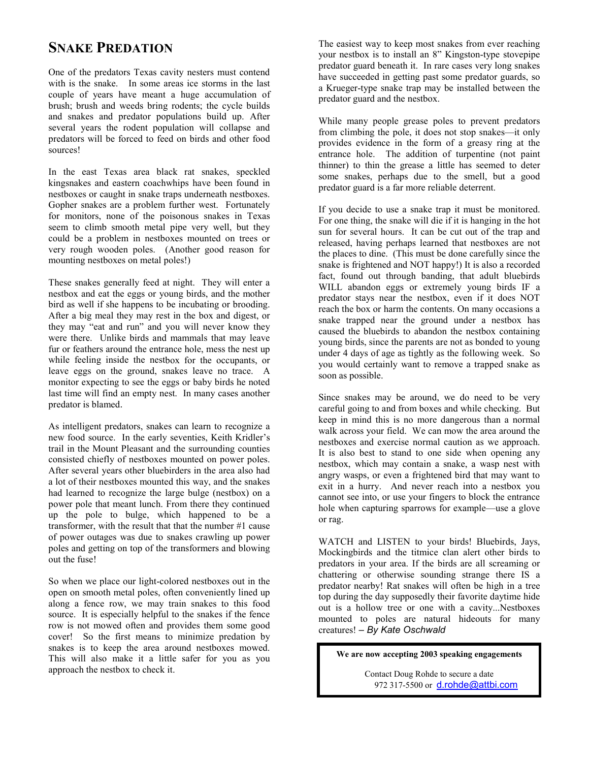## **SNAKE PREDATION**

One of the predators Texas cavity nesters must contend with is the snake. In some areas ice storms in the last couple of years have meant a huge accumulation of brush; brush and weeds bring rodents; the cycle builds and snakes and predator populations build up. After several years the rodent population will collapse and predators will be forced to feed on birds and other food sources!

In the east Texas area black rat snakes, speckled kingsnakes and eastern coachwhips have been found in nestboxes or caught in snake traps underneath nestboxes. Gopher snakes are a problem further west. Fortunately for monitors, none of the poisonous snakes in Texas seem to climb smooth metal pipe very well, but they could be a problem in nestboxes mounted on trees or very rough wooden poles. (Another good reason for mounting nestboxes on metal poles!)

These snakes generally feed at night. They will enter a nestbox and eat the eggs or young birds, and the mother bird as well if she happens to be incubating or brooding. After a big meal they may rest in the box and digest, or they may "eat and run" and you will never know they were there. Unlike birds and mammals that may leave fur or feathers around the entrance hole, mess the nest up while feeling inside the nestbox for the occupants, or leave eggs on the ground, snakes leave no trace. A monitor expecting to see the eggs or baby birds he noted last time will find an empty nest. In many cases another predator is blamed.

As intelligent predators, snakes can learn to recognize a new food source. In the early seventies, Keith Kridler's trail in the Mount Pleasant and the surrounding counties consisted chiefly of nestboxes mounted on power poles. After several years other bluebirders in the area also had a lot of their nestboxes mounted this way, and the snakes had learned to recognize the large bulge (nestbox) on a power pole that meant lunch. From there they continued up the pole to bulge, which happened to be a transformer, with the result that that the number #1 cause of power outages was due to snakes crawling up power poles and getting on top of the transformers and blowing out the fuse!

So when we place our light-colored nestboxes out in the open on smooth metal poles, often conveniently lined up along a fence row, we may train snakes to this food source. It is especially helpful to the snakes if the fence row is not mowed often and provides them some good cover! So the first means to minimize predation by snakes is to keep the area around nestboxes mowed. This will also make it a little safer for you as you approach the nestbox to check it.

The easiest way to keep most snakes from ever reaching your nestbox is to install an 8" Kingston-type stovepipe predator guard beneath it. In rare cases very long snakes have succeeded in getting past some predator guards, so a Krueger-type snake trap may be installed between the predator guard and the nestbox.

While many people grease poles to prevent predators from climbing the pole, it does not stop snakes—it only provides evidence in the form of a greasy ring at the entrance hole. The addition of turpentine (not paint thinner) to thin the grease a little has seemed to deter some snakes, perhaps due to the smell, but a good predator guard is a far more reliable deterrent.

If you decide to use a snake trap it must be monitored. For one thing, the snake will die if it is hanging in the hot sun for several hours. It can be cut out of the trap and released, having perhaps learned that nestboxes are not the places to dine. (This must be done carefully since the snake is frightened and NOT happy!) It is also a recorded fact, found out through banding, that adult bluebirds WILL abandon eggs or extremely young birds IF a predator stays near the nestbox, even if it does NOT reach the box or harm the contents. On many occasions a snake trapped near the ground under a nestbox has caused the bluebirds to abandon the nestbox containing young birds, since the parents are not as bonded to young under 4 days of age as tightly as the following week. So you would certainly want to remove a trapped snake as soon as possible.

Since snakes may be around, we do need to be very careful going to and from boxes and while checking. But keep in mind this is no more dangerous than a normal walk across your field. We can mow the area around the nestboxes and exercise normal caution as we approach. It is also best to stand to one side when opening any nestbox, which may contain a snake, a wasp nest with angry wasps, or even a frightened bird that may want to exit in a hurry. And never reach into a nestbox you cannot see into, or use your fingers to block the entrance hole when capturing sparrows for example—use a glove or rag.

WATCH and LISTEN to your birds! Bluebirds, Jays, Mockingbirds and the titmice clan alert other birds to predators in your area. If the birds are all screaming or chattering or otherwise sounding strange there IS a predator nearby! Rat snakes will often be high in a tree top during the day supposedly their favorite daytime hide out is a hollow tree or one with a cavity...Nestboxes mounted to poles are natural hideouts for many creatures! – *By Kate Oschwald*

**We are now accepting 2003 speaking engagements** 

Contact Doug Rohde to secure a date 972 317-5500 or [d.rohde@attbi.com](mailto:d.rohde@attbi.com)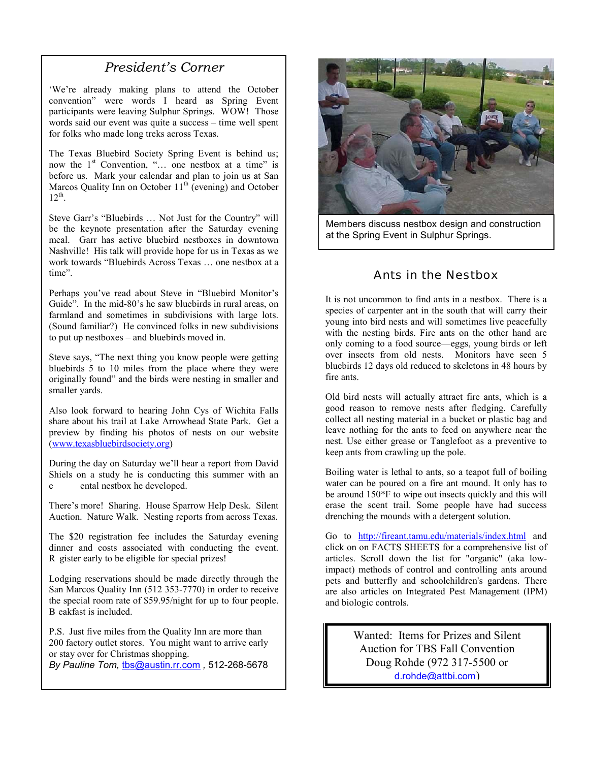### *President's Corner*

'We're already making plans to attend the October convention" were words I heard as Spring Event participants were leaving Sulphur Springs. WOW! Those words said our event was quite a success – time well spent for folks who made long treks across Texas.

The Texas Bluebird Society Spring Event is behind us; now the  $1<sup>st</sup>$  Convention, "... one nestbox at a time" is before us. Mark your calendar and plan to join us at San Marcos Quality Inn on October  $11<sup>th</sup>$  (evening) and October  $12^{th}$ .

Steve Garr's "Bluebirds … Not Just for the Country" will be the keynote presentation after the Saturday evening meal. Garr has active bluebird nestboxes in downtown Nashville! His talk will provide hope for us in Texas as we work towards "Bluebirds Across Texas … one nestbox at a time".

(Sound familiar?) He convinced folks in new subdivisions to put up nestboxes – and bluebirds moved in. Perhaps you've read about Steve in "Bluebird Monitor's Guide". In the mid-80's he saw bluebirds in rural areas, on farmland and sometimes in subdivisions with large lots.

originally found" and the birds were nesting in smaller and smaller yards. Steve says, "The next thing you know people were getting bluebirds 5 to 10 miles from the place where they were

preview by [finding his photo](http://www.texasbluebirdsociety.org/)s of nests on our website (www.texasbluebirdsociety.org) Also look forward to hearing John Cys of Wichita Falls share about his trail at Lake Arrowhead State Park. Get a

 e xperim During the day on Saturday we'll hear a report from David Shiels on a study he is conducting t his summer with an ental nestbox he developed.

There's more! Sharing. House Sparrow Help Desk. Silent A uction. Nature Walk. Nesting reports from across Texas.

R gister early to be eligible for special prizes! The \$20 registration fee includes the Saturday evening dinner and costs associated with conducting the event.

B eakfast is included. Lodging reservations should be made directly through the San Marcos Quality Inn (512 353-7770) in order to receive the special room rate o f \$59.95/night for up to four people.

P.S. Just five miles from the Quality Inn are more than 200 factory outlet stores. You migh t want to arrive early or stay over for C[hristmas shopping.](mailto:tbs@austin.rr.com) 

*By Pauline Tom,* tbs@austin.rr.com *,* 512-268-5678



Members discuss nestbox design and construction at the Spring Event in Sulphur Springs.

#### Ants in the Nestbox

It is not uncommon to find ants in a nestbox. There is a species of carpenter ant in the south that will carry their young into bird nests and will sometimes live peacefully with the nesting birds. Fire ants on the other hand are only coming to a food source—eggs, young birds or left over insects from old nests. Monitors have seen 5 bluebirds 12 days old reduced to skeletons in 48 hours by fire ants.

Old bird nests will actually attract fire ants, which is a good reason to remove nests after fledging. Carefully collect all nesting material in a bucket or plastic bag and leave nothing for the ants to feed on anywhere near the nest. Use either grease or Tanglefoot as a preventive to keep ants from crawling up the pole.

Boiling water is lethal to ants, so a teapot full of boiling water can be poured on a fire ant mound. It only has to be around 150\*F to wipe out insects quickly and this will erase the scent trail. Some people have had success drenching the mounds with a detergent solution.

Go to <http://fireant.tamu.edu/materials/index.html> and click on on FACTS SHEETS for a comprehensive list of articles. Scroll down the list for "organic" (aka lowimpact) methods of control and controlling ants around pets and butterfly and schoolchildren's gardens. There are also articles on Integrated Pest Management (IPM) and biologic controls.

> Wanted: Items for Prizes and Silent Auction for TBS Fall Convention Doug Rohde (972 317-5500 or [d.rohde@attbi.com](mailto:d.rohde@attbi.com))